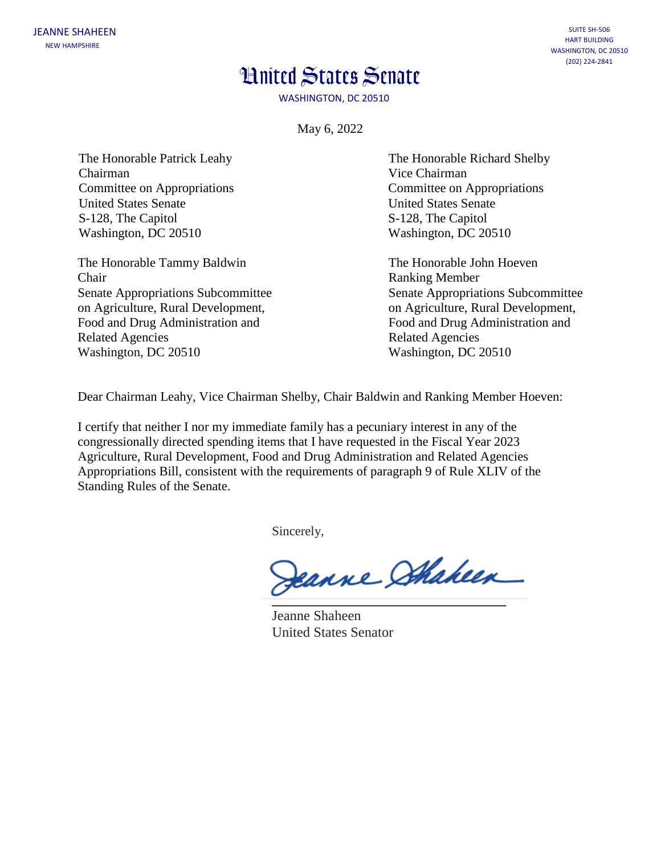## **Hnited States Senate**

WASHINGTON, DC 20510

May 6, 2022

The Honorable Patrick Leahy Chairman Committee on Appropriations United States Senate S-128, The Capitol Washington, DC 20510

The Honorable Tammy Baldwin The Honorable John Hoeven Chair Ranking Member on Agriculture, Rural Development, on Agriculture, Rural Development, Food and Drug Administration and Food and Drug Administration and Related Agencies **Related Agencies** Related Agencies Washington, DC 20510 Washington, DC 20510

The Honorable Richard Shelby Vice Chairman Committee on Appropriations United States Senate S-128, The Capitol Washington, DC 20510

Senate Appropriations Subcommittee Senate Appropriations Subcommittee

Dear Chairman Leahy, Vice Chairman Shelby, Chair Baldwin and Ranking Member Hoeven:

I certify that neither I nor my immediate family has a pecuniary interest in any of the congressionally directed spending items that I have requested in the Fiscal Year 2023 Agriculture, Rural Development, Food and Drug Administration and Related Agencies Appropriations Bill, consistent with the requirements of paragraph 9 of Rule XLIV of the Standing Rules of the Senate.

Sincerely,

Jeanne Stakeen **\_\_\_\_\_\_\_\_\_\_\_\_\_\_\_\_\_\_\_\_\_\_\_\_\_\_\_\_\_\_\_**

Jeanne Shaheen United States Senator